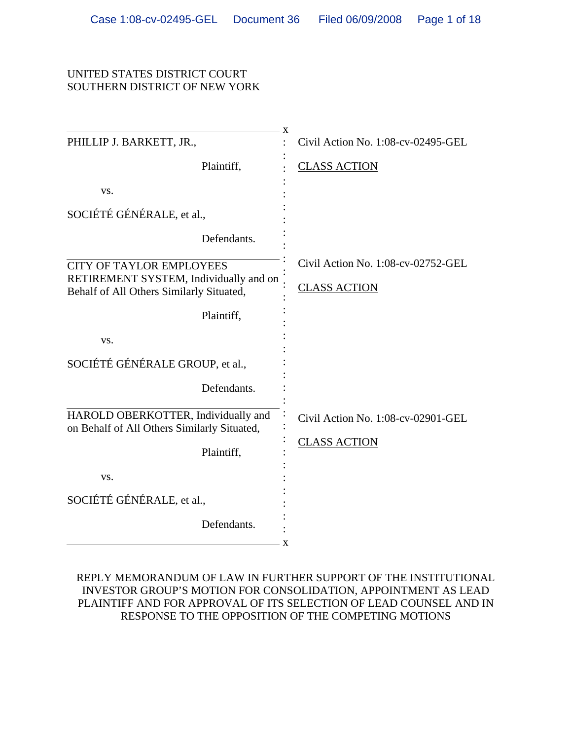#### UNITED STATES DISTRICT COURT SOUTHERN DISTRICT OF NEW YORK

| X                                                                                  |                                    |
|------------------------------------------------------------------------------------|------------------------------------|
| PHILLIP J. BARKETT, JR.,                                                           | Civil Action No. 1:08-cv-02495-GEL |
| Plaintiff,                                                                         | <b>CLASS ACTION</b>                |
| VS.                                                                                |                                    |
| SOCIÉTÉ GÉNÉRALE, et al.,                                                          |                                    |
| Defendants.                                                                        |                                    |
| <b>CITY OF TAYLOR EMPLOYEES</b>                                                    | Civil Action No. 1:08-cv-02752-GEL |
| RETIREMENT SYSTEM, Individually and on<br>Behalf of All Others Similarly Situated, | <b>CLASS ACTION</b>                |
| Plaintiff,                                                                         |                                    |
| VS.                                                                                |                                    |
| SOCIÉTÉ GÉNÉRALE GROUP, et al.,                                                    |                                    |
| Defendants.                                                                        |                                    |
| HAROLD OBERKOTTER, Individually and<br>on Behalf of All Others Similarly Situated, | Civil Action No. 1:08-cv-02901-GEL |
| Plaintiff,                                                                         | <b>CLASS ACTION</b>                |
| VS.                                                                                |                                    |
| SOCIÉTÉ GÉNÉRALE, et al.,                                                          |                                    |
| Defendants.<br>X                                                                   |                                    |

#### REPLY MEMORANDUM OF LAW IN FURTHER SUPPORT OF THE INSTITUTIONAL INVESTOR GROUP'S MOTION FOR CONSOLIDATION, APPOINTMENT AS LEAD PLAINTIFF AND FOR APPROVAL OF ITS SELECTION OF LEAD COUNSEL AND IN RESPONSE TO THE OPPOSITION OF THE COMPETING MOTIONS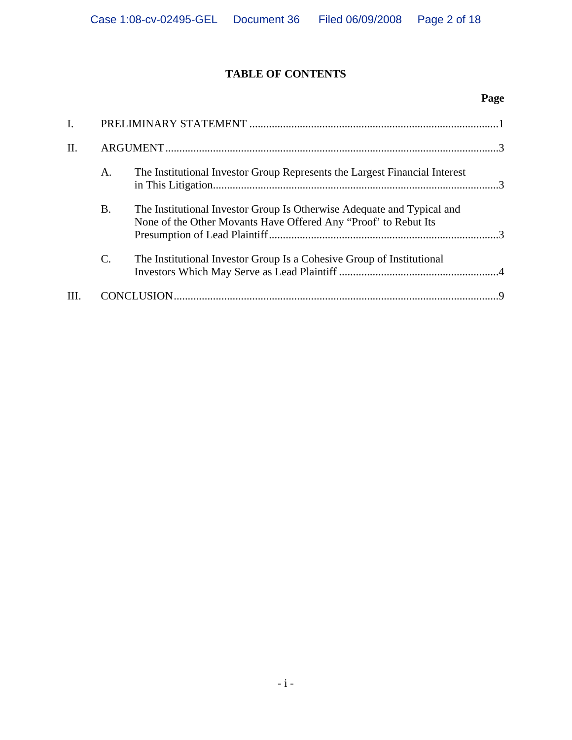## **TABLE OF CONTENTS**

### **Page**

| II. |                 |                                                                                                                                           |  |
|-----|-----------------|-------------------------------------------------------------------------------------------------------------------------------------------|--|
|     | A.              | The Institutional Investor Group Represents the Largest Financial Interest                                                                |  |
|     | Β.              | The Institutional Investor Group Is Otherwise Adequate and Typical and<br>None of the Other Movants Have Offered Any "Proof" to Rebut Its |  |
|     | $\mathcal{C}$ . | The Institutional Investor Group Is a Cohesive Group of Institutional                                                                     |  |
|     |                 |                                                                                                                                           |  |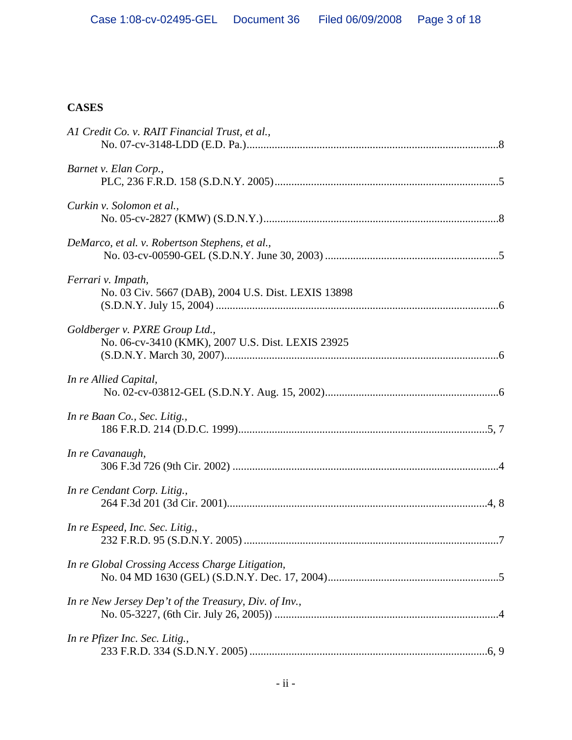### **CASES**

| Al Credit Co. v. RAIT Financial Trust, et al.,                                      |
|-------------------------------------------------------------------------------------|
| Barnet v. Elan Corp.,                                                               |
| Curkin v. Solomon et al.,                                                           |
| DeMarco, et al. v. Robertson Stephens, et al.,                                      |
| Ferrari v. Impath,<br>No. 03 Civ. 5667 (DAB), 2004 U.S. Dist. LEXIS 13898           |
| Goldberger v. PXRE Group Ltd.,<br>No. 06-cv-3410 (KMK), 2007 U.S. Dist. LEXIS 23925 |
| In re Allied Capital,                                                               |
| In re Baan Co., Sec. Litig.,                                                        |
| In re Cavanaugh,                                                                    |
| In re Cendant Corp. Litig.,                                                         |
| In re Espeed, Inc. Sec. Litig.,                                                     |
| In re Global Crossing Access Charge Litigation,                                     |
| In re New Jersey Dep't of the Treasury, Div. of Inv.,                               |
| In re Pfizer Inc. Sec. Litig.,                                                      |
|                                                                                     |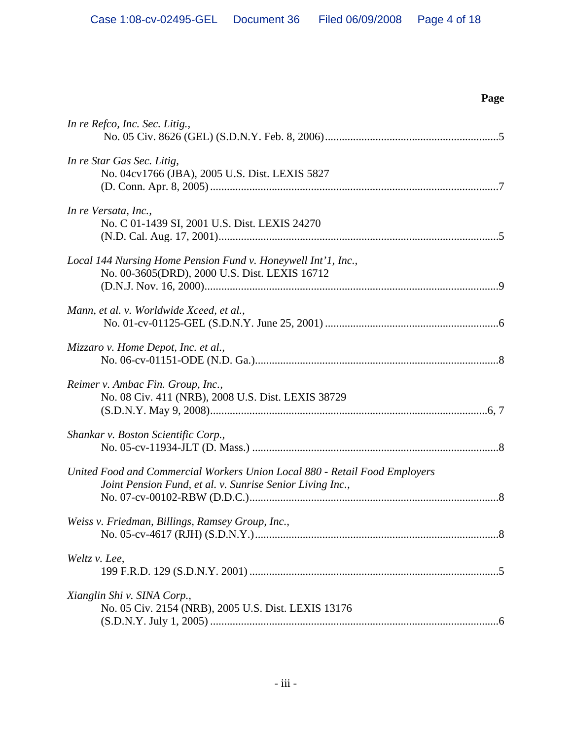| In re Refco, Inc. Sec. Litig.,                                                                                                          |
|-----------------------------------------------------------------------------------------------------------------------------------------|
| In re Star Gas Sec. Litig,<br>No. 04cv1766 (JBA), 2005 U.S. Dist. LEXIS 5827                                                            |
| In re Versata, Inc.,<br>No. C 01-1439 SI, 2001 U.S. Dist. LEXIS 24270                                                                   |
| Local 144 Nursing Home Pension Fund v. Honeywell Int'l, Inc.,<br>No. 00-3605(DRD), 2000 U.S. Dist. LEXIS 16712                          |
| Mann, et al. v. Worldwide Xceed, et al.,                                                                                                |
| Mizzaro v. Home Depot, Inc. et al.,                                                                                                     |
| Reimer v. Ambac Fin. Group, Inc.,<br>No. 08 Civ. 411 (NRB), 2008 U.S. Dist. LEXIS 38729                                                 |
| Shankar v. Boston Scientific Corp.,                                                                                                     |
| United Food and Commercial Workers Union Local 880 - Retail Food Employers<br>Joint Pension Fund, et al. v. Sunrise Senior Living Inc., |
| Weiss v. Friedman, Billings, Ramsey Group, Inc.,                                                                                        |
| Weltz v. Lee,                                                                                                                           |
| Xianglin Shi v. SINA Corp.,<br>No. 05 Civ. 2154 (NRB), 2005 U.S. Dist. LEXIS 13176                                                      |

# **Page**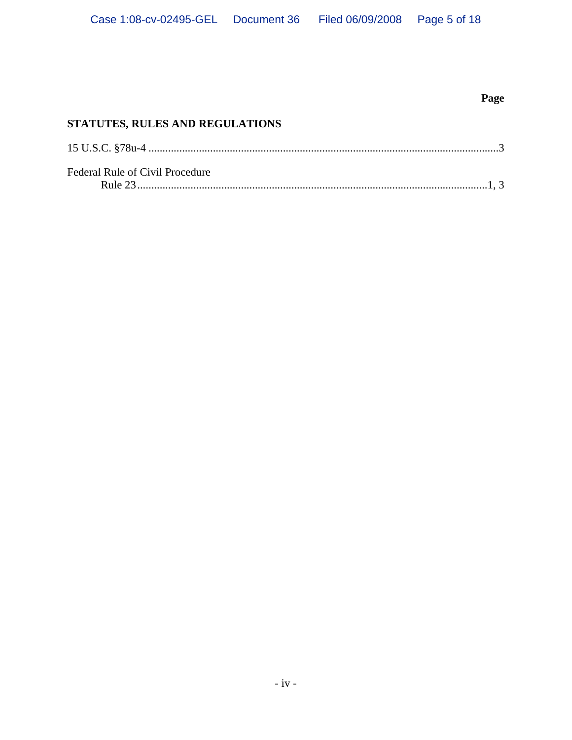### **Page**

### **STATUTES, RULES AND REGULATIONS**

| Federal Rule of Civil Procedure |  |
|---------------------------------|--|
|                                 |  |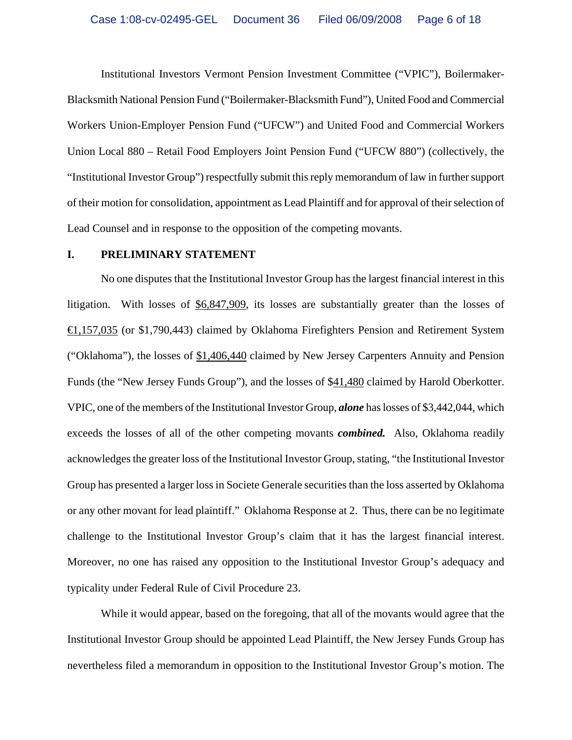Institutional Investors Vermont Pension Investment Committee ("VPIC"), Boilermaker-Blacksmith National Pension Fund ("Boilermaker-Blacksmith Fund"), United Food and Commercial Workers Union-Employer Pension Fund ("UFCW") and United Food and Commercial Workers Union Local 880 – Retail Food Employers Joint Pension Fund ("UFCW 880") (collectively, the "Institutional Investor Group") respectfully submit this reply memorandum of law in further support of their motion for consolidation, appointment as Lead Plaintiff and for approval of their selection of Lead Counsel and in response to the opposition of the competing movants.

#### **I. PRELIMINARY STATEMENT**

No one disputes that the Institutional Investor Group has the largest financial interest in this litigation. With losses of \$6,847,909, its losses are substantially greater than the losses of €1,157,035 (or \$1,790,443) claimed by Oklahoma Firefighters Pension and Retirement System ("Oklahoma"), the losses of \$1,406,440 claimed by New Jersey Carpenters Annuity and Pension Funds (the "New Jersey Funds Group"), and the losses of \$41,480 claimed by Harold Oberkotter. VPIC, one of the members of the Institutional Investor Group, *alone* has losses of \$3,442,044, which exceeds the losses of all of the other competing movants *combined.* Also, Oklahoma readily acknowledges the greater loss of the Institutional Investor Group, stating, "the Institutional Investor Group has presented a larger loss in Societe Generale securities than the loss asserted by Oklahoma or any other movant for lead plaintiff." Oklahoma Response at 2. Thus, there can be no legitimate challenge to the Institutional Investor Group's claim that it has the largest financial interest. Moreover, no one has raised any opposition to the Institutional Investor Group's adequacy and typicality under Federal Rule of Civil Procedure 23.

While it would appear, based on the foregoing, that all of the movants would agree that the Institutional Investor Group should be appointed Lead Plaintiff, the New Jersey Funds Group has nevertheless filed a memorandum in opposition to the Institutional Investor Group's motion. The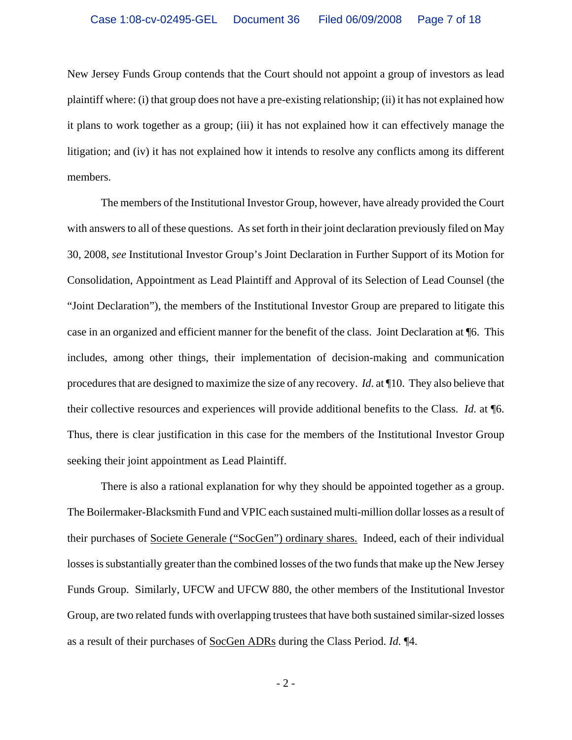New Jersey Funds Group contends that the Court should not appoint a group of investors as lead plaintiff where: (i) that group does not have a pre-existing relationship; (ii) it has not explained how it plans to work together as a group; (iii) it has not explained how it can effectively manage the litigation; and (iv) it has not explained how it intends to resolve any conflicts among its different members.

The members of the Institutional Investor Group, however, have already provided the Court with answers to all of these questions. As set forth in their joint declaration previously filed on May 30, 2008, *see* Institutional Investor Group's Joint Declaration in Further Support of its Motion for Consolidation, Appointment as Lead Plaintiff and Approval of its Selection of Lead Counsel (the "Joint Declaration"), the members of the Institutional Investor Group are prepared to litigate this case in an organized and efficient manner for the benefit of the class. Joint Declaration at ¶6. This includes, among other things, their implementation of decision-making and communication procedures that are designed to maximize the size of any recovery. *Id*. at ¶10. They also believe that their collective resources and experiences will provide additional benefits to the Class. *Id.* at ¶6. Thus, there is clear justification in this case for the members of the Institutional Investor Group seeking their joint appointment as Lead Plaintiff.

There is also a rational explanation for why they should be appointed together as a group. The Boilermaker-Blacksmith Fund and VPIC each sustained multi-million dollar losses as a result of their purchases of Societe Generale ("SocGen") ordinary shares. Indeed, each of their individual losses is substantially greater than the combined losses of the two funds that make up the New Jersey Funds Group. Similarly, UFCW and UFCW 880, the other members of the Institutional Investor Group, are two related funds with overlapping trustees that have both sustained similar-sized losses as a result of their purchases of SocGen ADRs during the Class Period. *Id.* ¶4.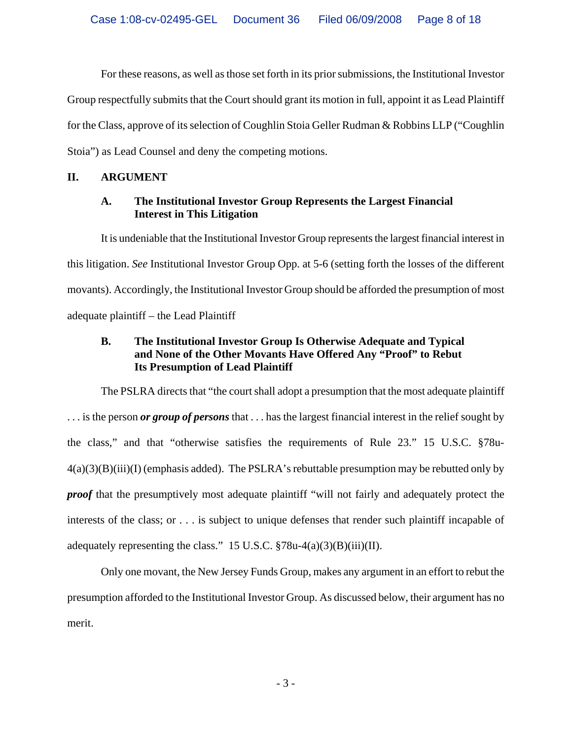For these reasons, as well as those set forth in its prior submissions, the Institutional Investor Group respectfully submits that the Court should grant its motion in full, appoint it as Lead Plaintiff for the Class, approve of its selection of Coughlin Stoia Geller Rudman & Robbins LLP ("Coughlin Stoia") as Lead Counsel and deny the competing motions.

#### **II. ARGUMENT**

#### **A. The Institutional Investor Group Represents the Largest Financial Interest in This Litigation**

It is undeniable that the Institutional Investor Group represents the largest financial interest in this litigation. *See* Institutional Investor Group Opp. at 5-6 (setting forth the losses of the different movants). Accordingly, the Institutional Investor Group should be afforded the presumption of most adequate plaintiff – the Lead Plaintiff

#### **B. The Institutional Investor Group Is Otherwise Adequate and Typical and None of the Other Movants Have Offered Any "Proof" to Rebut Its Presumption of Lead Plaintiff**

The PSLRA directs that "the court shall adopt a presumption that the most adequate plaintiff . . . is the person *or group of persons* that . . . has the largest financial interest in the relief sought by the class," and that "otherwise satisfies the requirements of Rule 23." 15 U.S.C. §78u- $4(a)(3)(B)(iii)(I)$  (emphasis added). The PSLRA's rebuttable presumption may be rebutted only by *proof* that the presumptively most adequate plaintiff "will not fairly and adequately protect the interests of the class; or . . . is subject to unique defenses that render such plaintiff incapable of adequately representing the class." 15 U.S.C.  $\sqrt[5]{8}$ 78u-4(a)(3)(B)(iii)(II).

Only one movant, the New Jersey Funds Group, makes any argument in an effort to rebut the presumption afforded to the Institutional Investor Group. As discussed below, their argument has no merit.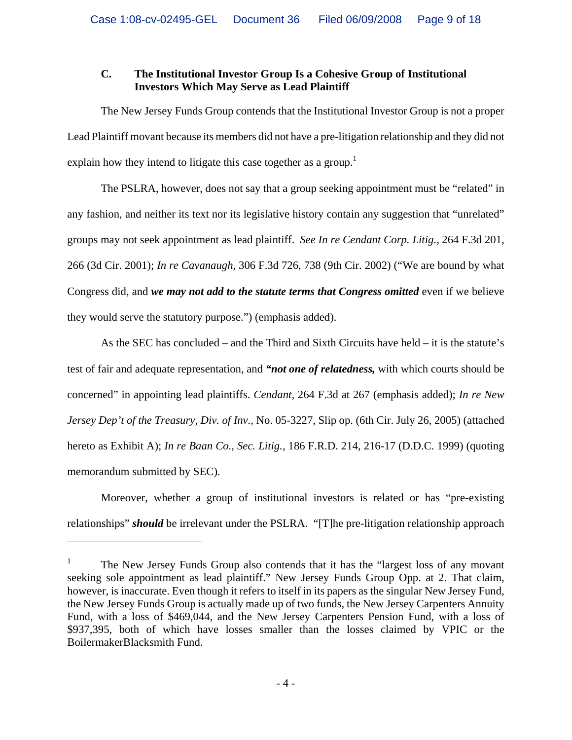#### **C. The Institutional Investor Group Is a Cohesive Group of Institutional Investors Which May Serve as Lead Plaintiff**

The New Jersey Funds Group contends that the Institutional Investor Group is not a proper Lead Plaintiff movant because its members did not have a pre-litigation relationship and they did not explain how they intend to litigate this case together as a group.<sup>1</sup>

The PSLRA, however, does not say that a group seeking appointment must be "related" in any fashion, and neither its text nor its legislative history contain any suggestion that "unrelated" groups may not seek appointment as lead plaintiff. *See In re Cendant Corp. Litig.,* 264 F.3d 201, 266 (3d Cir. 2001); *In re Cavanaugh,* 306 F.3d 726, 738 (9th Cir. 2002) ("We are bound by what Congress did, and *we may not add to the statute terms that Congress omitted* even if we believe they would serve the statutory purpose.") (emphasis added).

As the SEC has concluded – and the Third and Sixth Circuits have held – it is the statute's test of fair and adequate representation, and *"not one of relatedness,* with which courts should be concerned" in appointing lead plaintiffs. *Cendant,* 264 F.3d at 267 (emphasis added); *In re New Jersey Dep't of the Treasury, Div. of Inv.,* No. 05-3227, Slip op. (6th Cir. July 26, 2005) (attached hereto as Exhibit A); *In re Baan Co., Sec. Litig.,* 186 F.R.D. 214, 216-17 (D.D.C. 1999) (quoting memorandum submitted by SEC).

Moreover, whether a group of institutional investors is related or has "pre-existing relationships" *should* be irrelevant under the PSLRA. "[T]he pre-litigation relationship approach

 $\overline{a}$ 

<sup>1</sup> The New Jersey Funds Group also contends that it has the "largest loss of any movant seeking sole appointment as lead plaintiff." New Jersey Funds Group Opp. at 2. That claim, however, is inaccurate. Even though it refers to itself in its papers as the singular New Jersey Fund, the New Jersey Funds Group is actually made up of two funds, the New Jersey Carpenters Annuity Fund, with a loss of \$469,044, and the New Jersey Carpenters Pension Fund, with a loss of \$937,395, both of which have losses smaller than the losses claimed by VPIC or the BoilermakerBlacksmith Fund.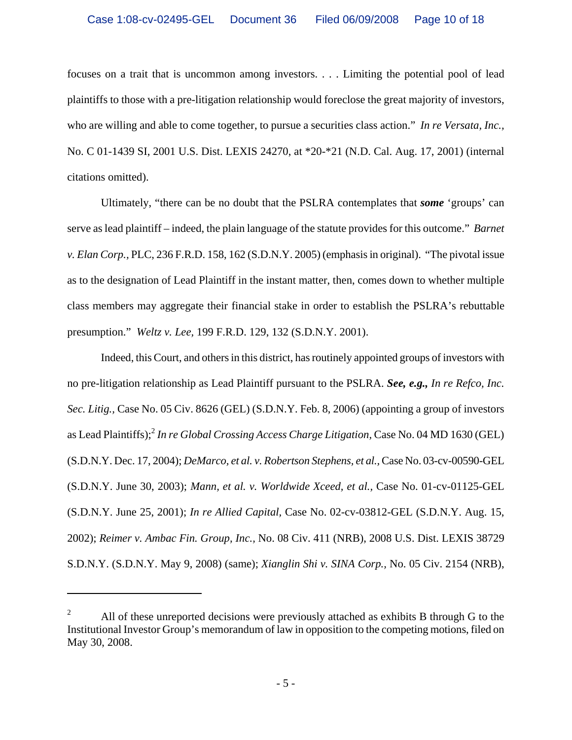focuses on a trait that is uncommon among investors. . . . Limiting the potential pool of lead plaintiffs to those with a pre-litigation relationship would foreclose the great majority of investors, who are willing and able to come together, to pursue a securities class action." *In re Versata, Inc.,* No. C 01-1439 SI, 2001 U.S. Dist. LEXIS 24270, at \*20-\*21 (N.D. Cal. Aug. 17, 2001) (internal citations omitted).

Ultimately, "there can be no doubt that the PSLRA contemplates that *some* 'groups' can serve as lead plaintiff – indeed, the plain language of the statute provides for this outcome." *Barnet v. Elan Corp.,* PLC, 236 F.R.D. 158, 162 (S.D.N.Y. 2005) (emphasis in original). "The pivotal issue as to the designation of Lead Plaintiff in the instant matter, then, comes down to whether multiple class members may aggregate their financial stake in order to establish the PSLRA's rebuttable presumption." *Weltz v. Lee,* 199 F.R.D. 129, 132 (S.D.N.Y. 2001).

Indeed, this Court, and others in this district, has routinely appointed groups of investors with no pre-litigation relationship as Lead Plaintiff pursuant to the PSLRA. *See, e.g., In re Refco, Inc. Sec. Litig.,* Case No. 05 Civ. 8626 (GEL) (S.D.N.Y. Feb. 8, 2006) (appointing a group of investors as Lead Plaintiffs);2 *In re Global Crossing Access Charge Litigation,* Case No. 04 MD 1630 (GEL) (S.D.N.Y. Dec. 17, 2004); *DeMarco, et al. v. Robertson Stephens, et al.,* Case No. 03-cv-00590-GEL (S.D.N.Y. June 30, 2003); *Mann, et al. v. Worldwide Xceed, et al.,* Case No. 01-cv-01125-GEL (S.D.N.Y. June 25, 2001); *In re Allied Capital,* Case No. 02-cv-03812-GEL (S.D.N.Y. Aug. 15, 2002); *Reimer v. Ambac Fin. Group, Inc.,* No. 08 Civ. 411 (NRB), 2008 U.S. Dist. LEXIS 38729 S.D.N.Y. (S.D.N.Y. May 9, 2008) (same); *Xianglin Shi v. SINA Corp.,* No. 05 Civ. 2154 (NRB),

1

<sup>2</sup> All of these unreported decisions were previously attached as exhibits B through G to the Institutional Investor Group's memorandum of law in opposition to the competing motions, filed on May 30, 2008.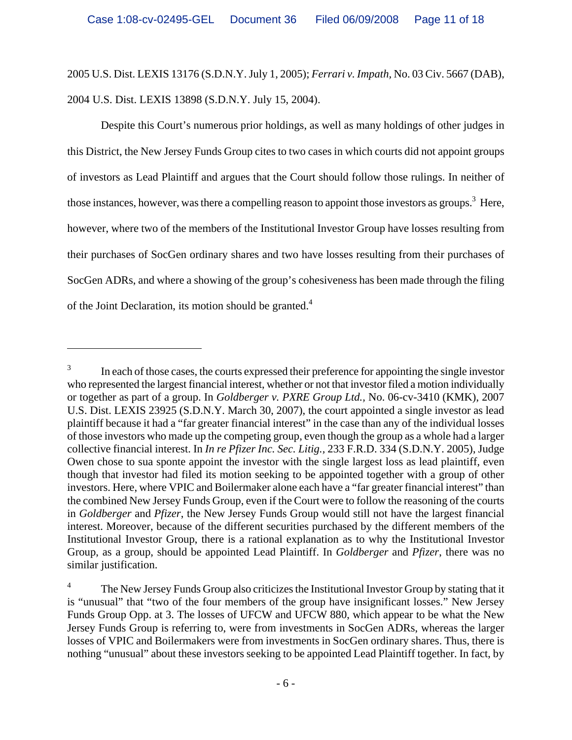2005 U.S. Dist. LEXIS 13176 (S.D.N.Y. July 1, 2005); *Ferrari v. Impath,* No. 03 Civ. 5667 (DAB), 2004 U.S. Dist. LEXIS 13898 (S.D.N.Y. July 15, 2004).

Despite this Court's numerous prior holdings, as well as many holdings of other judges in this District, the New Jersey Funds Group cites to two cases in which courts did not appoint groups of investors as Lead Plaintiff and argues that the Court should follow those rulings. In neither of those instances, however, was there a compelling reason to appoint those investors as groups.<sup>3</sup> Here, however, where two of the members of the Institutional Investor Group have losses resulting from their purchases of SocGen ordinary shares and two have losses resulting from their purchases of SocGen ADRs, and where a showing of the group's cohesiveness has been made through the filing of the Joint Declaration, its motion should be granted.<sup>4</sup>

 $\overline{a}$ 

<sup>3</sup> In each of those cases, the courts expressed their preference for appointing the single investor who represented the largest financial interest, whether or not that investor filed a motion individually or together as part of a group. In *Goldberger v. PXRE Group Ltd.,* No. 06-cv-3410 (KMK), 2007 U.S. Dist. LEXIS 23925 (S.D.N.Y. March 30, 2007), the court appointed a single investor as lead plaintiff because it had a "far greater financial interest" in the case than any of the individual losses of those investors who made up the competing group, even though the group as a whole had a larger collective financial interest. In *In re Pfizer Inc. Sec. Litig.,* 233 F.R.D. 334 (S.D.N.Y. 2005), Judge Owen chose to sua sponte appoint the investor with the single largest loss as lead plaintiff, even though that investor had filed its motion seeking to be appointed together with a group of other investors. Here, where VPIC and Boilermaker alone each have a "far greater financial interest" than the combined New Jersey Funds Group, even if the Court were to follow the reasoning of the courts in *Goldberger* and *Pfizer*, the New Jersey Funds Group would still not have the largest financial interest. Moreover, because of the different securities purchased by the different members of the Institutional Investor Group, there is a rational explanation as to why the Institutional Investor Group, as a group, should be appointed Lead Plaintiff. In *Goldberger* and *Pfizer*, there was no similar justification.

<sup>4</sup> The New Jersey Funds Group also criticizes the Institutional Investor Group by stating that it is "unusual" that "two of the four members of the group have insignificant losses." New Jersey Funds Group Opp. at 3. The losses of UFCW and UFCW 880, which appear to be what the New Jersey Funds Group is referring to, were from investments in SocGen ADRs, whereas the larger losses of VPIC and Boilermakers were from investments in SocGen ordinary shares. Thus, there is nothing "unusual" about these investors seeking to be appointed Lead Plaintiff together. In fact, by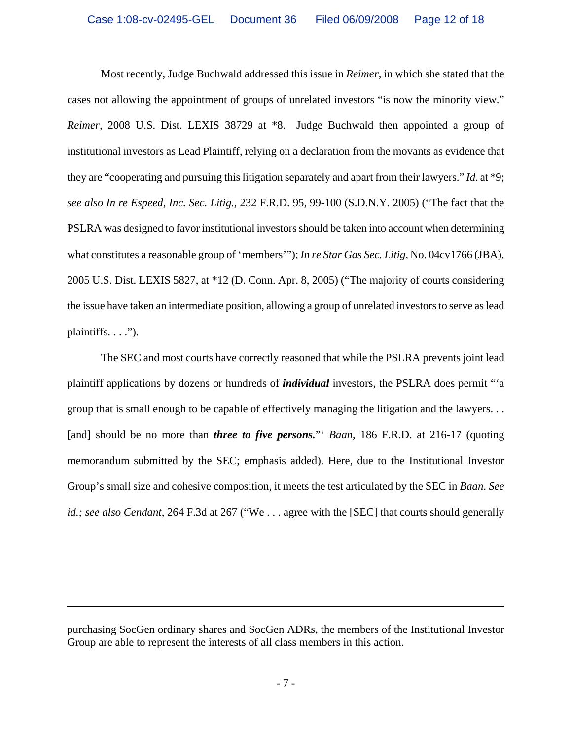Most recently, Judge Buchwald addressed this issue in *Reimer*, in which she stated that the cases not allowing the appointment of groups of unrelated investors "is now the minority view." *Reimer,* 2008 U.S. Dist. LEXIS 38729 at \*8. Judge Buchwald then appointed a group of institutional investors as Lead Plaintiff, relying on a declaration from the movants as evidence that they are "cooperating and pursuing this litigation separately and apart from their lawyers." *Id*. at \*9; *see also In re Espeed, Inc. Sec. Litig.,* 232 F.R.D. 95, 99-100 (S.D.N.Y. 2005) ("The fact that the PSLRA was designed to favor institutional investors should be taken into account when determining what constitutes a reasonable group of 'members'"); *In re Star Gas Sec. Litig,* No. 04cv1766 (JBA), 2005 U.S. Dist. LEXIS 5827, at \*12 (D. Conn. Apr. 8, 2005) ("The majority of courts considering the issue have taken an intermediate position, allowing a group of unrelated investors to serve as lead plaintiffs.  $\dots$ ").

The SEC and most courts have correctly reasoned that while the PSLRA prevents joint lead plaintiff applications by dozens or hundreds of *individual* investors, the PSLRA does permit "'a group that is small enough to be capable of effectively managing the litigation and the lawyers. . . [and] should be no more than *three to five persons.*" *Baan*, 186 F.R.D. at 216-17 (quoting memorandum submitted by the SEC; emphasis added). Here, due to the Institutional Investor Group's small size and cohesive composition, it meets the test articulated by the SEC in *Baan*. *See id.; see also Cendant,* 264 F.3d at 267 ("We . . . agree with the [SEC] that courts should generally

1

purchasing SocGen ordinary shares and SocGen ADRs, the members of the Institutional Investor Group are able to represent the interests of all class members in this action.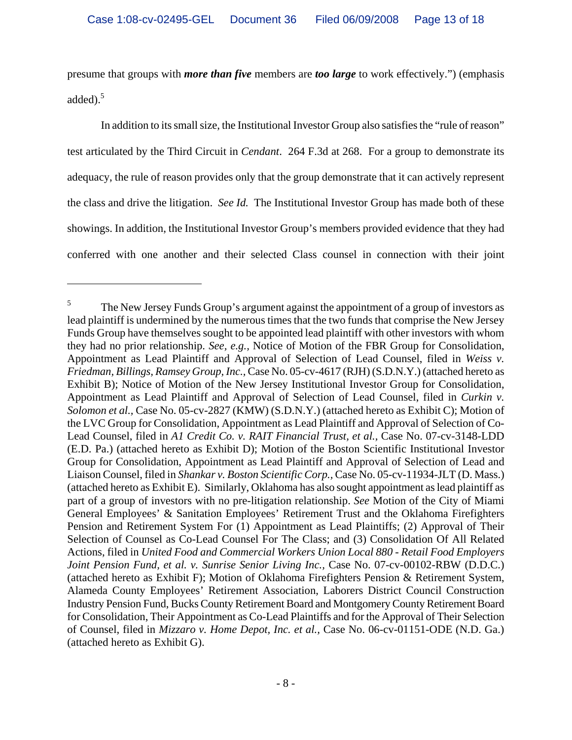presume that groups with *more than five* members are *too large* to work effectively.") (emphasis added).<sup>5</sup>

In addition to its small size, the Institutional Investor Group also satisfies the "rule of reason" test articulated by the Third Circuit in *Cendant*. 264 F.3d at 268. For a group to demonstrate its adequacy, the rule of reason provides only that the group demonstrate that it can actively represent the class and drive the litigation. *See Id.* The Institutional Investor Group has made both of these showings. In addition, the Institutional Investor Group's members provided evidence that they had conferred with one another and their selected Class counsel in connection with their joint

1

<sup>5</sup> The New Jersey Funds Group's argument against the appointment of a group of investors as lead plaintiff is undermined by the numerous times that the two funds that comprise the New Jersey Funds Group have themselves sought to be appointed lead plaintiff with other investors with whom they had no prior relationship. *See, e.g.,* Notice of Motion of the FBR Group for Consolidation, Appointment as Lead Plaintiff and Approval of Selection of Lead Counsel, filed in *Weiss v. Friedman, Billings, Ramsey Group, Inc.,* Case No. 05-cv-4617 (RJH) (S.D.N.Y.) (attached hereto as Exhibit B); Notice of Motion of the New Jersey Institutional Investor Group for Consolidation, Appointment as Lead Plaintiff and Approval of Selection of Lead Counsel, filed in *Curkin v. Solomon et al.,* Case No. 05-cv-2827 (KMW) (S.D.N.Y.) (attached hereto as Exhibit C); Motion of the LVC Group for Consolidation, Appointment as Lead Plaintiff and Approval of Selection of Co-Lead Counsel, filed in *A1 Credit Co. v. RAIT Financial Trust, et al.,* Case No. 07-cv-3148-LDD (E.D. Pa.) (attached hereto as Exhibit D); Motion of the Boston Scientific Institutional Investor Group for Consolidation, Appointment as Lead Plaintiff and Approval of Selection of Lead and Liaison Counsel, filed in *Shankar v. Boston Scientific Corp.,* Case No. 05-cv-11934-JLT (D. Mass.) (attached hereto as Exhibit E). Similarly, Oklahoma has also sought appointment as lead plaintiff as part of a group of investors with no pre-litigation relationship. *See* Motion of the City of Miami General Employees' & Sanitation Employees' Retirement Trust and the Oklahoma Firefighters Pension and Retirement System For (1) Appointment as Lead Plaintiffs; (2) Approval of Their Selection of Counsel as Co-Lead Counsel For The Class; and (3) Consolidation Of All Related Actions, filed in *United Food and Commercial Workers Union Local 880 - Retail Food Employers Joint Pension Fund, et al. v. Sunrise Senior Living Inc.,* Case No. 07-cv-00102-RBW (D.D.C.) (attached hereto as Exhibit F); Motion of Oklahoma Firefighters Pension & Retirement System, Alameda County Employees' Retirement Association, Laborers District Council Construction Industry Pension Fund, Bucks County Retirement Board and Montgomery County Retirement Board for Consolidation, Their Appointment as Co-Lead Plaintiffs and for the Approval of Their Selection of Counsel, filed in *Mizzaro v. Home Depot, Inc. et al.,* Case No. 06-cv-01151-ODE (N.D. Ga.) (attached hereto as Exhibit G).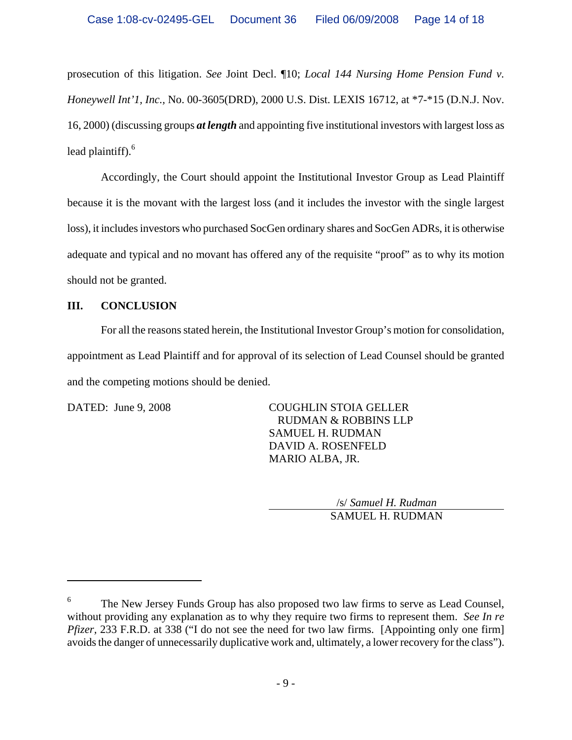prosecution of this litigation. *See* Joint Decl. ¶10; *Local 144 Nursing Home Pension Fund v. Honeywell Int'1, Inc.,* No. 00-3605(DRD), 2000 U.S. Dist. LEXIS 16712, at \*7-\*15 (D.N.J. Nov. 16, 2000) (discussing groups *at length* and appointing five institutional investors with largest loss as lead plaintiff). $6$ 

Accordingly, the Court should appoint the Institutional Investor Group as Lead Plaintiff because it is the movant with the largest loss (and it includes the investor with the single largest loss), it includes investors who purchased SocGen ordinary shares and SocGen ADRs, it is otherwise adequate and typical and no movant has offered any of the requisite "proof" as to why its motion should not be granted.

#### **III. CONCLUSION**

For all the reasons stated herein, the Institutional Investor Group's motion for consolidation, appointment as Lead Plaintiff and for approval of its selection of Lead Counsel should be granted and the competing motions should be denied.

 $\overline{a}$ 

DATED: June 9, 2008 COUGHLIN STOIA GELLER RUDMAN & ROBBINS LLP SAMUEL H. RUDMAN DAVID A. ROSENFELD MARIO ALBA, JR.

> /s/ *Samuel H. Rudman* SAMUEL H. RUDMAN

<sup>6</sup> The New Jersey Funds Group has also proposed two law firms to serve as Lead Counsel, without providing any explanation as to why they require two firms to represent them. *See In re Pfizer*, 233 F.R.D. at 338 ("I do not see the need for two law firms. [Appointing only one firm] avoids the danger of unnecessarily duplicative work and, ultimately, a lower recovery for the class").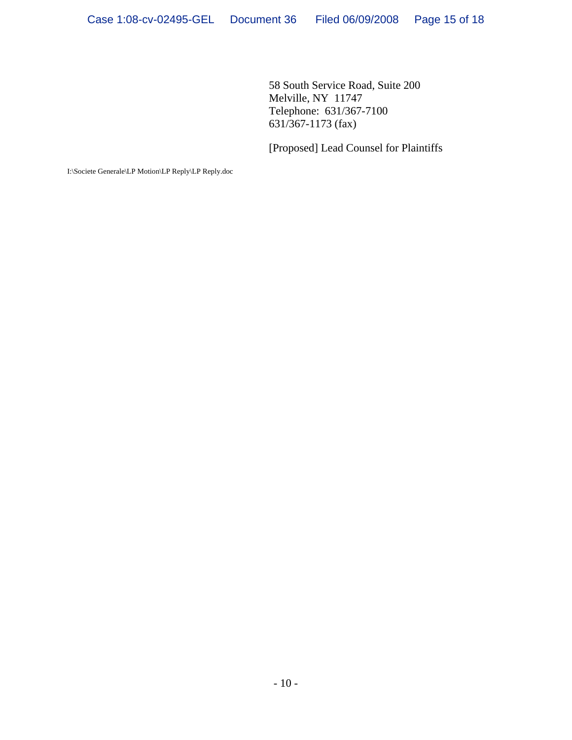58 South Service Road, Suite 200 Melville, NY 11747 Telephone: 631/367-7100 631/367-1173 (fax)

[Proposed] Lead Counsel for Plaintiffs

I:\Societe Generale\LP Motion\LP Reply\LP Reply.doc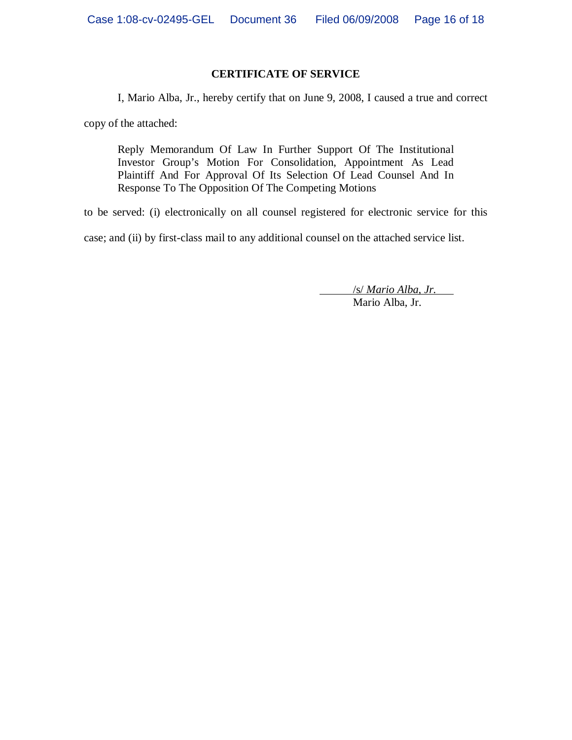#### **CERTIFICATE OF SERVICE**

I, Mario Alba, Jr., hereby certify that on June 9, 2008, I caused a true and correct

copy of the attached:

Reply Memorandum Of Law In Further Support Of The Institutional Investor Group's Motion For Consolidation, Appointment As Lead Plaintiff And For Approval Of Its Selection Of Lead Counsel And In Response To The Opposition Of The Competing Motions

to be served: (i) electronically on all counsel registered for electronic service for this

case; and (ii) by first-class mail to any additional counsel on the attached service list.

 /s/ *Mario Alba, Jr.* Mario Alba, Jr.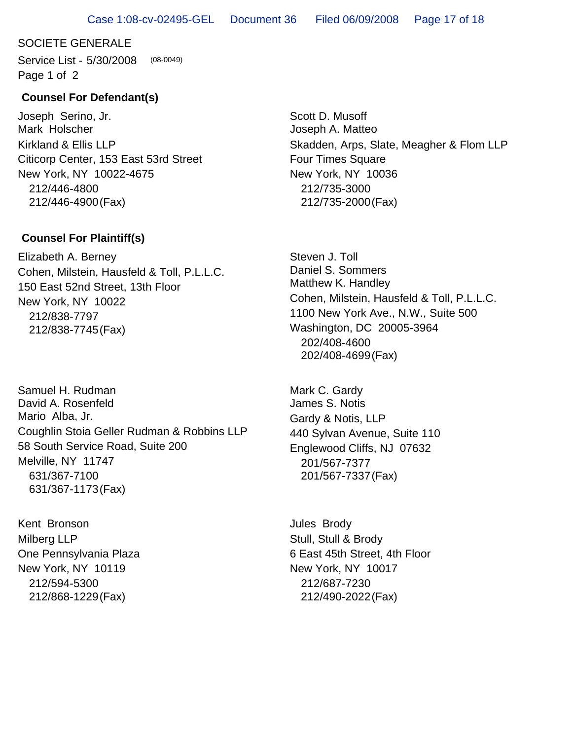## SOCIETE GENERALE

Service List - 5/30/2008 Page 1 of 2 (08-0049)

# **Counsel For Defendant(s)**

Joseph Serino, Jr. Mark Holscher Citicorp Center, 153 East 53rd Street New York, NY 10022-4675 212/446-4800 212/446-4900(Fax) Kirkland & Ellis LLP

# **Counsel For Plaintiff(s)**

Elizabeth A. Berney 150 East 52nd Street, 13th Floor New York, NY 10022 212/838-7797 212/838-7745(Fax) Cohen, Milstein, Hausfeld & Toll, P.L.L.C.

Samuel H. Rudman David A. Rosenfeld Mario Alba, Jr. 58 South Service Road, Suite 200 Melville, NY 11747 631/367-7100 631/367-1173(Fax) Coughlin Stoia Geller Rudman & Robbins LLP

Kent Bronson One Pennsylvania Plaza New York, NY 10119 212/594-5300 212/868-1229(Fax) Milberg LLP

Scott D. Musoff Joseph A. Matteo Four Times Square New York, NY 10036 212/735-3000 212/735-2000(Fax) Skadden, Arps, Slate, Meagher & Flom LLP

Steven J. Toll Daniel S. Sommers Matthew K. Handley 1100 New York Ave., N.W., Suite 500 Washington, DC 20005-3964 202/408-4600 202/408-4699(Fax) Cohen, Milstein, Hausfeld & Toll, P.L.L.C.

Mark C. Gardy James S. Notis 440 Sylvan Avenue, Suite 110 Englewood Cliffs, NJ 07632 201/567-7377 201/567-7337(Fax) Gardy & Notis, LLP

Jules Brody 6 East 45th Street, 4th Floor New York, NY 10017 212/687-7230 212/490-2022(Fax) Stull, Stull & Brody